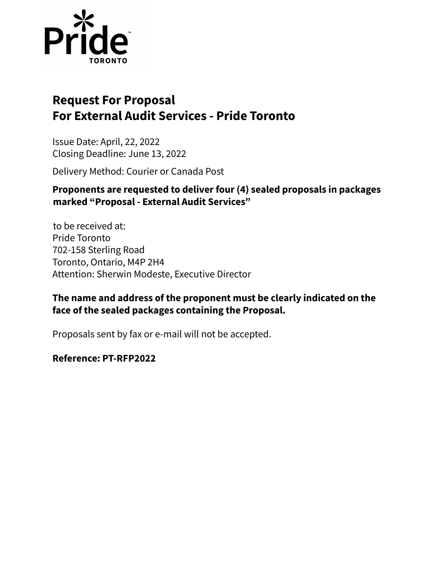

# **Request For Proposal For External Audit Services - Pride Toronto**

Issue Date: April, 22, 2022 Closing Deadline: June 13, 2022

Delivery Method: Courier or Canada Post

## **Proponents are requested to deliver four (4) sealed proposals in packages marked "Proposal - External Audit Services"**

to be received at: Pride Toronto 702-158 Sterling Road Toronto, Ontario, M4P 2H4 Attention: Sherwin Modeste, Executive Director

## **The name and address of the proponent must be clearly indicated on the face of the sealed packages containing the Proposal.**

Proposals sent by fax or e-mail will not be accepted.

## **Reference: PT-RFP2022**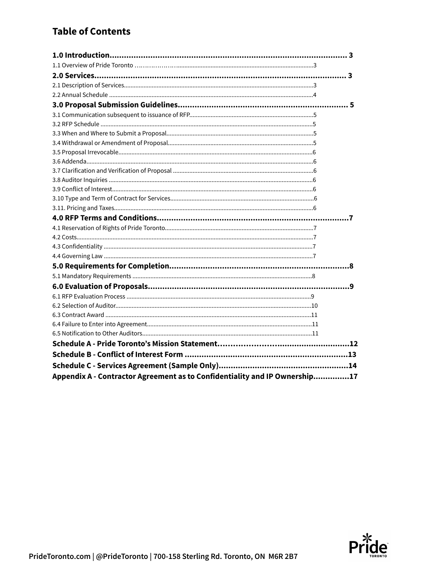## **Table of Contents**

| Appendix A - Contractor Agreement as to Confidentiality and IP Ownership17 |  |
|----------------------------------------------------------------------------|--|

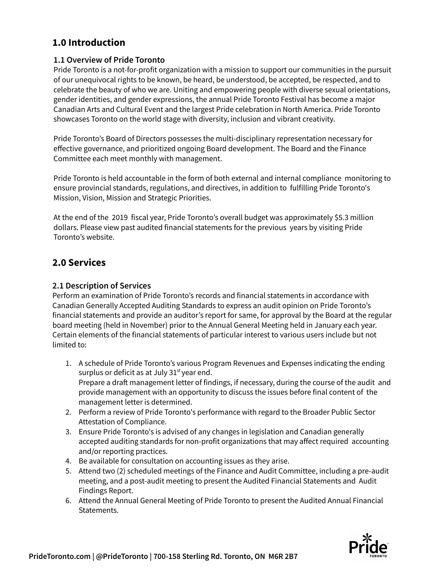## **1.0 Introduction**

#### **1.1 Overview of Pride Toronto**

Pride Toronto is a not-for-profit organization with a mission to support our communities in the pursuit of our unequivocal rights to be known, be heard, be understood, be accepted, be respected, and to celebrate the beauty of who we are. Uniting and empowering people with diverse sexual orientations, gender identities, and gender expressions, the annual Pride Toronto Festival has become a major Canadian Arts and Cultural Event and the largest Pride celebration in North America. Pride Toronto showcases Toronto on the world stage with diversity, inclusion and vibrant creativity.

Pride Toronto's Board of Directors possesses the multi-disciplinary representation necessary for effective governance, and prioritized ongoing Board development. The Board and the Finance Committee each meet monthly with management.

Pride Toronto is held accountable in the form of both external and internal compliance monitoring to ensure provincial standards, regulations, and directives, in addition to fulfilling Pride Toronto's Mission, Vision, Mission and Strategic Priorities.

At the end of the 2019 fiscal year, Pride Toronto's overall budget was approximately \$5.3 million dollars. Please view past audited financial statements for the previous years by visiting Pride Toronto's website.

## **2.0 Services**

#### **2.1 Description of Services**

Perform an examination of Pride Toronto's records and financial statements in accordance with Canadian Generally Accepted Auditing Standards to express an audit opinion on Pride Toronto's financial statements and provide an auditor's report for same, for approval by the Board at the regular board meeting (held in November) prior to the Annual General Meeting held in January each year. Certain elements of the financial statements of particular interest to various users include but not limited to:

- 1. A schedule of Pride Toronto's various Program Revenues and Expenses indicating the ending surplus or deficit as at July 31<sup>st</sup> year end. Prepare a draft management letter of findings, if necessary, during the course of the audit and provide management with an opportunity to discuss the issues before final content of the management letter is determined.
- 2. Perform a review of Pride Toronto's performance with regard to the Broader Public Sector Attestation of Compliance.
- 3. Ensure Pride Toronto's is advised of any changes in legislation and Canadian generally accepted auditing standards for non-profit organizations that may affect required accounting and/or reporting practices.
- 4. Be available for consultation on accounting issues as they arise.
- 5. Attend two (2) scheduled meetings of the Finance and Audit Committee, including a pre-audit meeting, and a post-audit meeting to present the Audited Financial Statements and Audit Findings Report.
- 6. Attend the Annual General Meeting of Pride Toronto to present the Audited Annual Financial Statements.

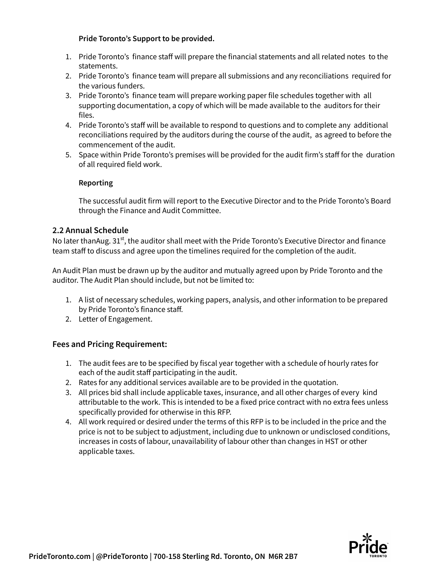#### **Pride Toronto's Support to be provided.**

- 1. Pride Toronto's finance staff will prepare the financial statements and all related notes to the statements.
- 2. Pride Toronto's finance team will prepare all submissions and any reconciliations required for the various funders.
- 3. Pride Toronto's finance team will prepare working paper file schedules together with all supporting documentation, a copy of which will be made available to the auditors for their files.
- 4. Pride Toronto's staff will be available to respond to questions and to complete any additional reconciliations required by the auditors during the course of the audit, as agreed to before the commencement of the audit.
- 5. Space within Pride Toronto's premises will be provided for the audit firm's staff for the duration of all required field work.

#### **Reporting**

The successful audit firm will report to the Executive Director and to the Pride Toronto's Board through the Finance and Audit Committee.

#### **2.2 Annual Schedule**

No later thanAug. 31st, the auditor shall meet with the Pride Toronto's Executive Director and finance team staff to discuss and agree upon the timelines required for the completion of the audit.

An Audit Plan must be drawn up by the auditor and mutually agreed upon by Pride Toronto and the auditor. The Audit Plan should include, but not be limited to:

- 1. A list of necessary schedules, working papers, analysis, and other information to be prepared by Pride Toronto's finance staff.
- 2. Letter of Engagement.

### **Fees and Pricing Requirement:**

- 1. The audit fees are to be specified by fiscal year together with a schedule of hourly rates for each of the audit staff participating in the audit.
- 2. Rates for any additional services available are to be provided in the quotation.
- 3. All prices bid shall include applicable taxes, insurance, and all other charges of every kind attributable to the work. This is intended to be a fixed price contract with no extra fees unless specifically provided for otherwise in this RFP.
- 4. All work required or desired under the terms of this RFP is to be included in the price and the price is not to be subject to adjustment, including due to unknown or undisclosed conditions, increases in costs of labour, unavailability of labour other than changes in HST or other applicable taxes.

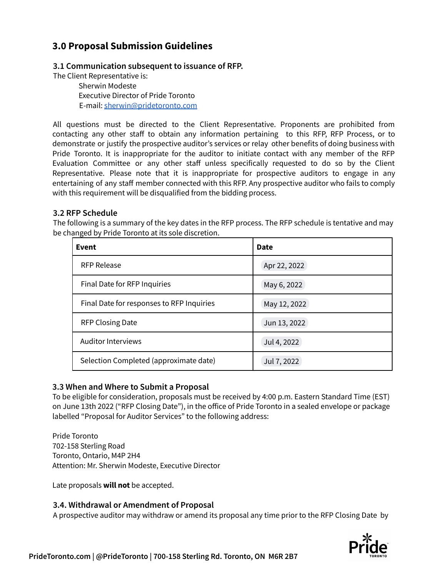## **3.0 Proposal Submission Guidelines**

#### **3.1 Communication subsequent to issuance of RFP.**

The Client Representative is:

Sherwin Modeste Executive Director of Pride Toronto E-mail: [sherwin@pridetoronto.com](mailto:sherwin@pridetoronto.com)

All questions must be directed to the Client Representative. Proponents are prohibited from contacting any other staff to obtain any information pertaining to this RFP, RFP Process, or to demonstrate or justify the prospective auditor's services or relay other benefits of doing business with Pride Toronto. It is inappropriate for the auditor to initiate contact with any member of the RFP Evaluation Committee or any other staff unless specifically requested to do so by the Client Representative. Please note that it is inappropriate for prospective auditors to engage in any entertaining of any staff member connected with this RFP. Any prospective auditor who fails to comply with this requirement will be disqualified from the bidding process.

#### **3.2 RFP Schedule**

The following is a summary of the key dates in the RFP process. The RFP schedule is tentative and may be changed by Pride Toronto at its sole discretion.

| Event                                     | Date         |  |
|-------------------------------------------|--------------|--|
| <b>RFP Release</b>                        | Apr 22, 2022 |  |
| Final Date for RFP Inquiries              | May 6, 2022  |  |
| Final Date for responses to RFP Inquiries | May 12, 2022 |  |
| <b>RFP Closing Date</b>                   | Jun 13, 2022 |  |
| <b>Auditor Interviews</b>                 | Jul 4, 2022  |  |
| Selection Completed (approximate date)    | Jul 7, 2022  |  |

#### **3.3 When and Where to Submit a Proposal**

To be eligible for consideration, proposals must be received by 4:00 p.m. Eastern Standard Time (EST) on June 13th 2022 ("RFP Closing Date"), in the office of Pride Toronto in a sealed envelope or package labelled "Proposal for Auditor Services" to the following address:

Pride Toronto 702-158 Sterling Road Toronto, Ontario, M4P 2H4 Attention: Mr. Sherwin Modeste, Executive Director

Late proposals **will not** be accepted.

#### **3.4. Withdrawal or Amendment of Proposal**

A prospective auditor may withdraw or amend its proposal any time prior to the RFP Closing Date by

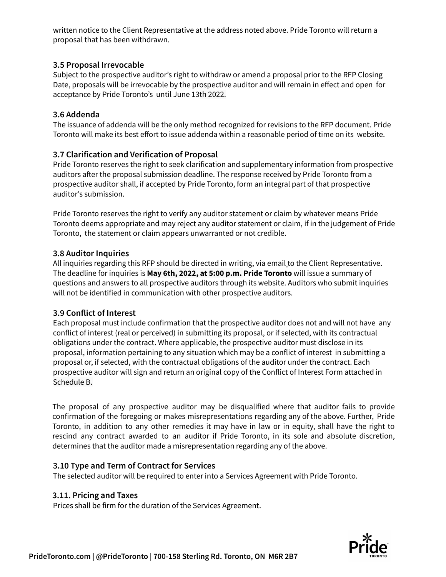written notice to the Client Representative at the address noted above. Pride Toronto will return a proposal that has been withdrawn.

### **3.5 Proposal Irrevocable**

Subject to the prospective auditor's right to withdraw or amend a proposal prior to the RFP Closing Date, proposals will be irrevocable by the prospective auditor and will remain in effect and open for acceptance by Pride Toronto's until June 13th 2022.

### **3.6 Addenda**

The issuance of addenda will be the only method recognized for revisions to the RFP document. Pride Toronto will make its best effort to issue addenda within a reasonable period of time on its website.

## **3.7 Clarification and Verification of Proposal**

Pride Toronto reserves the right to seek clarification and supplementary information from prospective auditors after the proposal submission deadline. The response received by Pride Toronto from a prospective auditor shall, if accepted by Pride Toronto, form an integral part of that prospective auditor's submission.

Pride Toronto reserves the right to verify any auditor statement or claim by whatever means Pride Toronto deems appropriate and may reject any auditor statement or claim, if in the judgement of Pride Toronto, the statement or claim appears unwarranted or not credible.

### **3.8 Auditor Inquiries**

All inquiries regarding this RFP should be directed in writing, via email to the Client Representative. The deadline for inquiries is **May 6th, 2022, at 5:00 p.m. Pride Toronto** will issue a summary of questions and answers to all prospective auditors through its website. Auditors who submit inquiries will not be identified in communication with other prospective auditors.

## **3.9 Conflict of Interest**

Each proposal must include confirmation that the prospective auditor does not and will not have any conflict of interest (real or perceived) in submitting its proposal, or if selected, with its contractual obligations under the contract. Where applicable, the prospective auditor must disclose in its proposal, information pertaining to any situation which may be a conflict of interest in submitting a proposal or, if selected, with the contractual obligations of the auditor under the contract. Each prospective auditor will sign and return an original copy of the Conflict of Interest Form attached in Schedule B.

The proposal of any prospective auditor may be disqualified where that auditor fails to provide confirmation of the foregoing or makes misrepresentations regarding any of the above. Further, Pride Toronto, in addition to any other remedies it may have in law or in equity, shall have the right to rescind any contract awarded to an auditor if Pride Toronto, in its sole and absolute discretion, determines that the auditor made a misrepresentation regarding any of the above.

## **3.10 Type and Term of Contract for Services**

The selected auditor will be required to enter into a Services Agreement with Pride Toronto.

## **3.11. Pricing and Taxes**

Prices shall be firm for the duration of the Services Agreement.

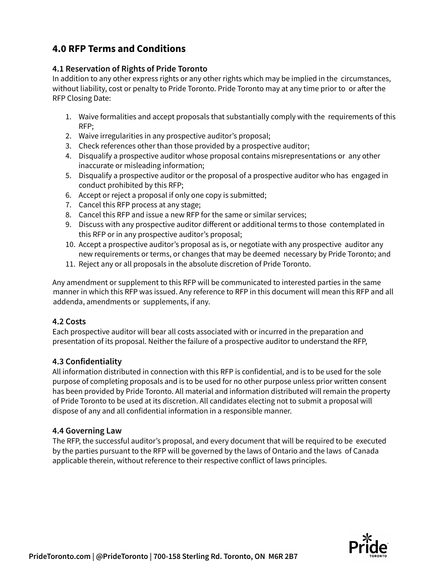## **4.0 RFP Terms and Conditions**

### **4.1 Reservation of Rights of Pride Toronto**

In addition to any other express rights or any other rights which may be implied in the circumstances, without liability, cost or penalty to Pride Toronto. Pride Toronto may at any time prior to or after the RFP Closing Date:

- 1. Waive formalities and accept proposals that substantially comply with the requirements of this RFP;
- 2. Waive irregularities in any prospective auditor's proposal;
- 3. Check references other than those provided by a prospective auditor;
- 4. Disqualify a prospective auditor whose proposal contains misrepresentations or any other inaccurate or misleading information;
- 5. Disqualify a prospective auditor or the proposal of a prospective auditor who has engaged in conduct prohibited by this RFP;
- 6. Accept or reject a proposal if only one copy is submitted;
- 7. Cancel this RFP process at any stage;
- 8. Cancel this RFP and issue a new RFP for the same or similar services;
- 9. Discuss with any prospective auditor different or additional terms to those contemplated in this RFP or in any prospective auditor's proposal;
- 10. Accept a prospective auditor's proposal as is, or negotiate with any prospective auditor any new requirements or terms, or changes that may be deemed necessary by Pride Toronto; and
- 11. Reject any or all proposals in the absolute discretion of Pride Toronto.

Any amendment or supplement to this RFP will be communicated to interested parties in the same manner in which this RFP was issued. Any reference to RFP in this document will mean this RFP and all addenda, amendments or supplements, if any.

#### **4.2 Costs**

Each prospective auditor will bear all costs associated with or incurred in the preparation and presentation of its proposal. Neither the failure of a prospective auditor to understand the RFP,

### **4.3 Confidentiality**

All information distributed in connection with this RFP is confidential, and is to be used for the sole purpose of completing proposals and is to be used for no other purpose unless prior written consent has been provided by Pride Toronto. All material and information distributed will remain the property of Pride Toronto to be used at its discretion. All candidates electing not to submit a proposal will dispose of any and all confidential information in a responsible manner.

### **4.4 Governing Law**

The RFP, the successful auditor's proposal, and every document that will be required to be executed by the parties pursuant to the RFP will be governed by the laws of Ontario and the laws of Canada applicable therein, without reference to their respective conflict of laws principles.

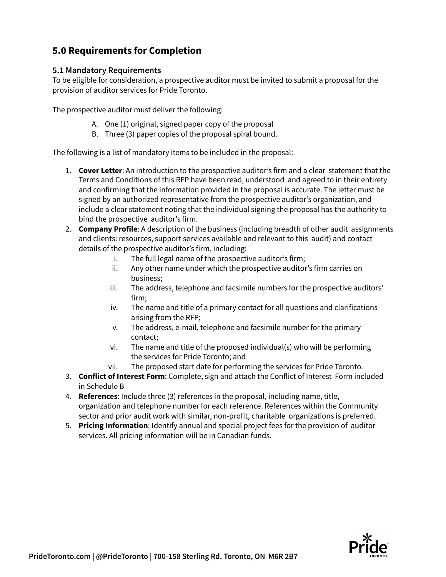## **5.0 Requirements for Completion**

#### **5.1 Mandatory Requirements**

To be eligible for consideration, a prospective auditor must be invited to submit a proposal for the provision of auditor services for Pride Toronto.

The prospective auditor must deliver the following:

- A. One (1) original, signed paper copy of the proposal
- B. Three (3) paper copies of the proposal spiral bound.

The following is a list of mandatory items to be included in the proposal:

- 1. **Cover Letter**: An introduction to the prospective auditor's firm and a clear statement that the Terms and Conditions of this RFP have been read, understood and agreed to in their entirety and confirming that the information provided in the proposal is accurate. The letter must be signed by an authorized representative from the prospective auditor's organization, and include a clear statement noting that the individual signing the proposal has the authority to bind the prospective auditor's firm.
- 2. **Company Profile**: A description of the business (including breadth of other audit assignments and clients: resources, support services available and relevant to this audit) and contact details of the prospective auditor's firm, including:
	- i. The full legal name of the prospective auditor's firm;
	- ii. Any other name under which the prospective auditor's firm carries on business;
	- iii. The address, telephone and facsimile numbers for the prospective auditors' firm;
	- iv. The name and title of a primary contact for all questions and clarifications arising from the RFP;
	- v. The address, e-mail, telephone and facsimile number for the primary contact;
	- vi. The name and title of the proposed individual(s) who will be performing the services for Pride Toronto; and
	- vii. The proposed start date for performing the services for Pride Toronto.
- 3. **Conflict of Interest Form**: Complete, sign and attach the Conflict of Interest Form included in Schedule B
- 4. **References**: Include three (3) references in the proposal, including name, title, organization and telephone number for each reference. References within the Community sector and prior audit work with similar, non-profit, charitable organizations is preferred.
- 5. **Pricing Information**: Identify annual and special project fees for the provision of auditor services. All pricing information will be in Canadian funds.

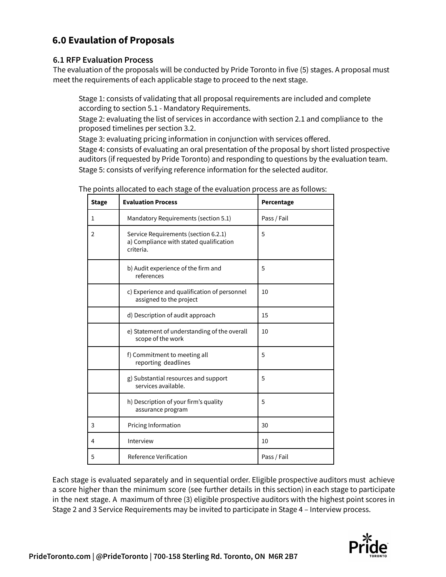## **6.0 Evaulation of Proposals**

#### **6.1 RFP Evaluation Process**

The evaluation of the proposals will be conducted by Pride Toronto in five (5) stages. A proposal must meet the requirements of each applicable stage to proceed to the next stage.

Stage 1: consists of validating that all proposal requirements are included and complete according to section 5.1 - Mandatory Requirements.

Stage 2: evaluating the list of services in accordance with section 2.1 and compliance to the proposed timelines per section 3.2.

Stage 3: evaluating pricing information in conjunction with services offered.

Stage 4: consists of evaluating an oral presentation of the proposal by short listed prospective auditors (if requested by Pride Toronto) and responding to questions by the evaluation team. Stage 5: consists of verifying reference information for the selected auditor.

| <b>Stage</b> | <b>Evaluation Process</b>                                                                    | Percentage  |
|--------------|----------------------------------------------------------------------------------------------|-------------|
| 1            | Mandatory Requirements (section 5.1)                                                         | Pass / Fail |
| 2            | Service Requirements (section 6.2.1)<br>a) Compliance with stated qualification<br>criteria. | 5           |
|              | b) Audit experience of the firm and<br>references                                            | 5           |
|              | c) Experience and qualification of personnel<br>assigned to the project                      | 10          |
|              | d) Description of audit approach                                                             | 15          |
|              | e) Statement of understanding of the overall<br>scope of the work                            | 10          |
|              | f) Commitment to meeting all<br>reporting deadlines                                          | 5           |
|              | 5<br>g) Substantial resources and support<br>services available.                             |             |
|              | h) Description of your firm's quality<br>assurance program                                   | 5           |
| 3            | Pricing Information<br>30                                                                    |             |
| 4            | Interview<br>10                                                                              |             |
| 5            | Reference Verification<br>Pass / Fail                                                        |             |

The points allocated to each stage of the evaluation process are as follows:

Each stage is evaluated separately and in sequential order. Eligible prospective auditors must achieve a score higher than the minimum score (see further details in this section) in each stage to participate in the next stage. A maximum of three (3) eligible prospective auditors with the highest point scores in Stage 2 and 3 Service Requirements may be invited to participate in Stage 4 – Interview process.

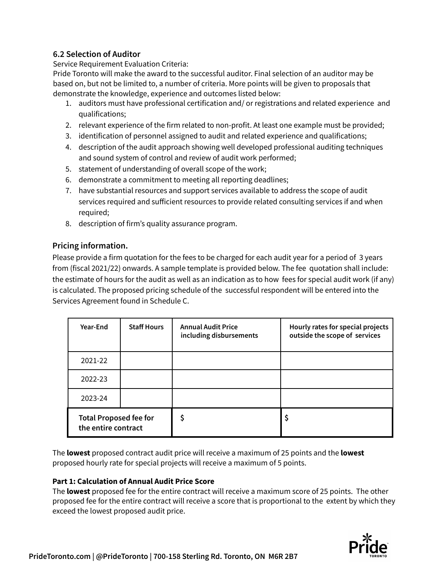### **6.2 Selection of Auditor**

Service Requirement Evaluation Criteria:

Pride Toronto will make the award to the successful auditor. Final selection of an auditor may be based on, but not be limited to, a number of criteria. More points will be given to proposals that demonstrate the knowledge, experience and outcomes listed below:

- 1. auditors must have professional certification and/ or registrations and related experience and qualifications;
- 2. relevant experience of the firm related to non-profit. At least one example must be provided;
- 3. identification of personnel assigned to audit and related experience and qualifications;
- 4. description of the audit approach showing well developed professional auditing techniques and sound system of control and review of audit work performed;
- 5. statement of understanding of overall scope of the work;
- 6. demonstrate a commitment to meeting all reporting deadlines;
- 7. have substantial resources and support services available to address the scope of audit services required and sufficient resources to provide related consulting services if and when required;
- 8. description of firm's quality assurance program.

### **Pricing information.**

Please provide a firm quotation for the fees to be charged for each audit year for a period of 3 years from (fiscal 2021/22) onwards. A sample template is provided below. The fee quotation shall include: the estimate of hours for the audit as well as an indication as to how fees for special audit work (if any) is calculated. The proposed pricing schedule of the successful respondent will be entered into the Services Agreement found in Schedule C.

| Year-End                                             | <b>Staff Hours</b> | <b>Annual Audit Price</b><br>including disbursements | Hourly rates for special projects<br>outside the scope of services |
|------------------------------------------------------|--------------------|------------------------------------------------------|--------------------------------------------------------------------|
| 2021-22                                              |                    |                                                      |                                                                    |
| 2022-23                                              |                    |                                                      |                                                                    |
| 2023-24                                              |                    |                                                      |                                                                    |
| <b>Total Proposed fee for</b><br>the entire contract |                    |                                                      | \$                                                                 |

The **lowest** proposed contract audit price will receive a maximum of 25 points and the **lowest** proposed hourly rate for special projects will receive a maximum of 5 points.

#### **Part 1: Calculation of Annual Audit Price Score**

The **lowest** proposed fee for the entire contract will receive a maximum score of 25 points. The other proposed fee for the entire contract will receive a score that is proportional to the extent by which they exceed the lowest proposed audit price.

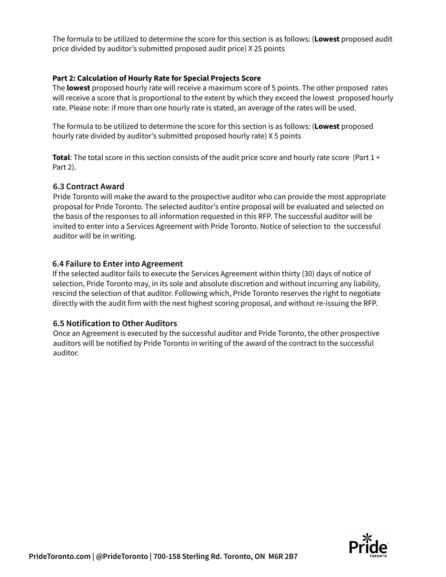The formula to be utilized to determine the score for this section is as follows: (**Lowest** proposed audit price divided by auditor's submitted proposed audit price) X 25 points

#### **Part 2: Calculation of Hourly Rate for Special Projects Score**

The **lowest** proposed hourly rate will receive a maximum score of 5 points. The other proposed rates will receive a score that is proportional to the extent by which they exceed the lowest proposed hourly rate. Please note: if more than one hourly rate is stated, an average of the rates will be used.

The formula to be utilized to determine the score for this section is as follows: (**Lowest** proposed hourly rate divided by auditor's submitted proposed hourly rate) X 5 points

**Total**: The total score in this section consists of the audit price score and hourly rate score (Part 1 + Part 2).

#### **6.3 Contract Award**

Pride Toronto will make the award to the prospective auditor who can provide the most appropriate proposal for Pride Toronto. The selected auditor's entire proposal will be evaluated and selected on the basis of the responses to all information requested in this RFP. The successful auditor will be invited to enter into a Services Agreement with Pride Toronto. Notice of selection to the successful auditor will be in writing.

#### **6.4 Failure to Enter into Agreement**

If the selected auditor fails to execute the Services Agreement within thirty (30) days of notice of selection, Pride Toronto may, in its sole and absolute discretion and without incurring any liability, rescind the selection of that auditor. Following which, Pride Toronto reserves the right to negotiate directly with the audit firm with the next highest scoring proposal, and without re-issuing the RFP.

#### **6.5 Notification to Other Auditors**

Once an Agreement is executed by the successful auditor and Pride Toronto, the other prospective auditors will be notified by Pride Toronto in writing of the award of the contract to the successful auditor.

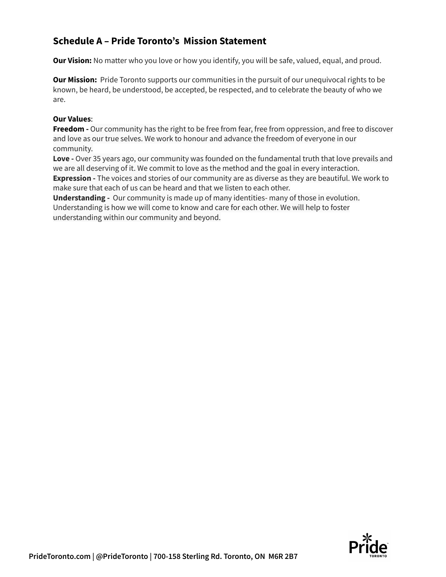## **Schedule A – Pride Toronto's Mission Statement**

**Our Vision:** No matter who you love or how you identify, you will be safe, valued, equal, and proud.

**Our Mission:** Pride Toronto supports our communities in the pursuit of our unequivocal rights to be known, be heard, be understood, be accepted, be respected, and to celebrate the beauty of who we are.

#### **Our Values**:

**Freedom -** Our community has the right to be free from fear, free from oppression, and free to discover and love as our true selves. We work to honour and advance the freedom of everyone in our community.

**Love -** Over 35 years ago, our community was founded on the fundamental truth that love prevails and we are all deserving of it. We commit to love as the method and the goal in every interaction. **Expression -** The voices and stories of our community are as diverse as they are beautiful. We work to make sure that each of us can be heard and that we listen to each other.

**Understanding -** Our community is made up of many identities- many of those in evolution. Understanding is how we will come to know and care for each other. We will help to foster understanding within our community and beyond.

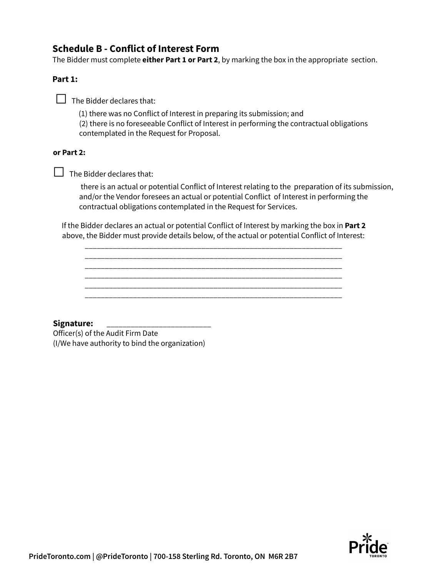## **Schedule B - Conflict of Interest Form**

The Bidder must complete **either Part 1 or Part 2**, by marking the box in the appropriate section.

#### **Part 1:**

**□** The Bidder declares that:

(1) there was no Conflict of Interest in preparing its submission; and

(2) there is no foreseeable Conflict of Interest in performing the contractual obligations contemplated in the Request for Proposal.

#### **or Part 2:**

**□** The Bidder declares that:

there is an actual or potential Conflict of Interest relating to the preparation of its submission, and/or the Vendor foresees an actual or potential Conflict of Interest in performing the contractual obligations contemplated in the Request for Services.

If the Bidder declares an actual or potential Conflict of Interest by marking the box in **Part 2** above, the Bidder must provide details below, of the actual or potential Conflict of Interest:

\_\_\_\_\_\_\_\_\_\_\_\_\_\_\_\_\_\_\_\_\_\_\_\_\_\_\_\_\_\_\_\_\_\_\_\_\_\_\_\_\_\_\_\_\_\_\_\_\_\_\_\_\_\_\_\_\_\_\_\_\_\_\_\_ \_\_\_\_\_\_\_\_\_\_\_\_\_\_\_\_\_\_\_\_\_\_\_\_\_\_\_\_\_\_\_\_\_\_\_\_\_\_\_\_\_\_\_\_\_\_\_\_\_\_\_\_\_\_\_\_\_\_\_\_\_\_\_\_

\_\_\_\_\_\_\_\_\_\_\_\_\_\_\_\_\_\_\_\_\_\_\_\_\_\_\_\_\_\_\_\_\_\_\_\_\_\_\_\_\_\_\_\_\_\_\_\_\_\_\_\_\_\_\_\_\_\_\_\_\_\_\_\_ \_\_\_\_\_\_\_\_\_\_\_\_\_\_\_\_\_\_\_\_\_\_\_\_\_\_\_\_\_\_\_\_\_\_\_\_\_\_\_\_\_\_\_\_\_\_\_\_\_\_\_\_\_\_\_\_\_\_\_\_\_\_\_\_ \_\_\_\_\_\_\_\_\_\_\_\_\_\_\_\_\_\_\_\_\_\_\_\_\_\_\_\_\_\_\_\_\_\_\_\_\_\_\_\_\_\_\_\_\_\_\_\_\_\_\_\_\_\_\_\_\_\_\_\_\_\_\_\_

**Signature:** \_\_\_\_\_\_\_\_\_\_\_\_\_\_\_\_\_\_\_\_\_\_\_\_\_\_

Officer(s) of the Audit Firm Date (I/We have authority to bind the organization)

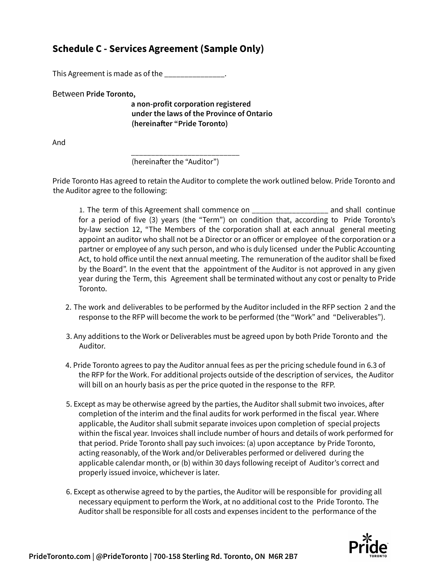## **Schedule C - Services Agreement (Sample Only)**

This Agreement is made as of the \_\_\_\_\_\_\_\_\_\_\_\_\_\_\_

Between **Pride Toronto,**

**a non-profit corporation registered under the laws of the Province of Ontario (hereinafter "Pride Toronto)**

And

\_\_\_\_\_\_\_\_\_\_\_\_\_\_\_\_\_\_\_\_\_\_\_\_\_\_\_ (hereinafter the "Auditor")

Pride Toronto Has agreed to retain the Auditor to complete the work outlined below. Pride Toronto and the Auditor agree to the following:

1. The term of this Agreement shall commence on \_\_\_\_\_\_\_\_\_\_\_\_\_\_\_\_\_\_\_ and shall continue for a period of five (3) years (the "Term") on condition that, according to Pride Toronto's by-law section 12, "The Members of the corporation shall at each annual general meeting appoint an auditor who shall not be a Director or an officer or employee of the corporation or a partner or employee of any such person, and who is duly licensed under the Public Accounting Act, to hold office until the next annual meeting. The remuneration of the auditor shall be fixed by the Board". In the event that the appointment of the Auditor is not approved in any given year during the Term, this Agreement shall be terminated without any cost or penalty to Pride Toronto.

- 2. The work and deliverables to be performed by the Auditor included in the RFP section 2 and the response to the RFP will become the work to be performed (the "Work" and "Deliverables").
- 3. Any additions to the Work or Deliverables must be agreed upon by both Pride Toronto and the Auditor.
- 4. Pride Toronto agrees to pay the Auditor annual fees as per the pricing schedule found in 6.3 of the RFP for the Work. For additional projects outside of the description of services, the Auditor will bill on an hourly basis as per the price quoted in the response to the RFP.
- 5. Except as may be otherwise agreed by the parties, the Auditor shall submit two invoices, after completion of the interim and the final audits for work performed in the fiscal year. Where applicable, the Auditor shall submit separate invoices upon completion of special projects within the fiscal year. Invoices shall include number of hours and details of work performed for that period. Pride Toronto shall pay such invoices: (a) upon acceptance by Pride Toronto, acting reasonably, of the Work and/or Deliverables performed or delivered during the applicable calendar month, or (b) within 30 days following receipt of Auditor's correct and properly issued invoice, whichever is later.
- 6. Except as otherwise agreed to by the parties, the Auditor will be responsible for providing all necessary equipment to perform the Work, at no additional cost to the Pride Toronto. The Auditor shall be responsible for all costs and expenses incident to the performance of the

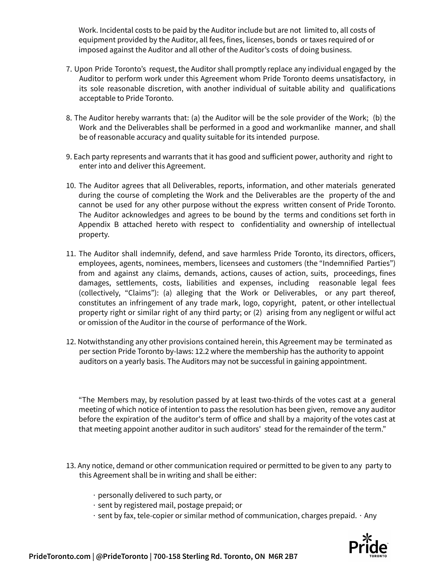Work. Incidental costs to be paid by the Auditor include but are not limited to, all costs of equipment provided by the Auditor, all fees, fines, licenses, bonds or taxes required of or imposed against the Auditor and all other of the Auditor's costs of doing business.

- 7. Upon Pride Toronto's request, the Auditor shall promptly replace any individual engaged by the Auditor to perform work under this Agreement whom Pride Toronto deems unsatisfactory, in its sole reasonable discretion, with another individual of suitable ability and qualifications acceptable to Pride Toronto.
- 8. The Auditor hereby warrants that: (a) the Auditor will be the sole provider of the Work; (b) the Work and the Deliverables shall be performed in a good and workmanlike manner, and shall be of reasonable accuracy and quality suitable for its intended purpose.
- 9. Each party represents and warrants that it has good and sufficient power, authority and right to enter into and deliver this Agreement.
- 10. The Auditor agrees that all Deliverables, reports, information, and other materials generated during the course of completing the Work and the Deliverables are the property of the and cannot be used for any other purpose without the express written consent of Pride Toronto. The Auditor acknowledges and agrees to be bound by the terms and conditions set forth in Appendix B attached hereto with respect to confidentiality and ownership of intellectual property.
- 11. The Auditor shall indemnify, defend, and save harmless Pride Toronto, its directors, officers, employees, agents, nominees, members, licensees and customers (the "Indemnified Parties") from and against any claims, demands, actions, causes of action, suits, proceedings, fines damages, settlements, costs, liabilities and expenses, including reasonable legal fees (collectively, "Claims"): (a) alleging that the Work or Deliverables, or any part thereof, constitutes an infringement of any trade mark, logo, copyright, patent, or other intellectual property right or similar right of any third party; or (2) arising from any negligent or wilful act or omission of the Auditor in the course of performance of the Work.
- 12. Notwithstanding any other provisions contained herein, this Agreement may be terminated as per section Pride Toronto by-laws: 12.2 where the membership has the authority to appoint auditors on a yearly basis. The Auditors may not be successful in gaining appointment.

"The Members may, by resolution passed by at least two-thirds of the votes cast at a general meeting of which notice of intention to pass the resolution has been given, remove any auditor before the expiration of the auditor's term of office and shall by a majority of the votes cast at that meeting appoint another auditor in such auditors' stead for the remainder of the term."

- 13. Any notice, demand or other communication required or permitted to be given to any party to this Agreement shall be in writing and shall be either:
	- ∙ personally delivered to such party, or
	- ∙ sent by registered mail, postage prepaid; or
	- ∙ sent by fax, tele-copier or similar method of communication, charges prepaid. ∙ Any

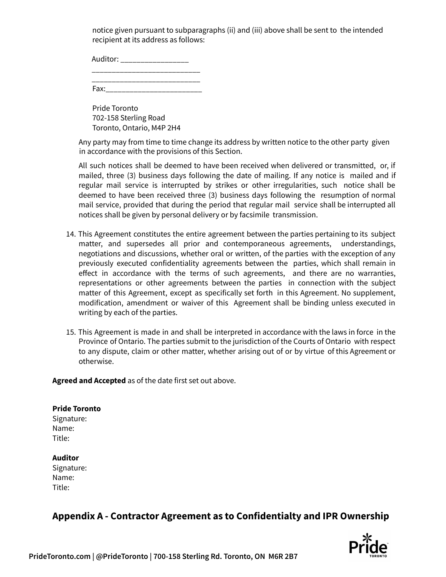notice given pursuant to subparagraphs (ii) and (iii) above shall be sent to the intended recipient at its address as follows:

Auditor: \_\_\_\_\_\_\_\_\_\_\_\_\_\_\_\_\_\_\_\_\_\_\_\_\_\_\_

\_\_\_\_\_\_\_\_\_\_\_\_\_\_\_\_\_\_\_\_\_\_\_\_\_\_\_ Fax:\_\_\_\_\_\_\_\_\_\_\_\_\_\_\_\_\_\_\_\_\_\_\_\_

Pride Toronto 702-158 Sterling Road Toronto, Ontario, M4P 2H4

Any party may from time to time change its address by written notice to the other party given in accordance with the provisions of this Section.

All such notices shall be deemed to have been received when delivered or transmitted, or, if mailed, three (3) business days following the date of mailing. If any notice is mailed and if regular mail service is interrupted by strikes or other irregularities, such notice shall be deemed to have been received three (3) business days following the resumption of normal mail service, provided that during the period that regular mail service shall be interrupted all notices shall be given by personal delivery or by facsimile transmission.

- 14. This Agreement constitutes the entire agreement between the parties pertaining to its subject matter, and supersedes all prior and contemporaneous agreements, understandings, negotiations and discussions, whether oral or written, of the parties with the exception of any previously executed confidentiality agreements between the parties, which shall remain in effect in accordance with the terms of such agreements, and there are no warranties, representations or other agreements between the parties in connection with the subject matter of this Agreement, except as specifically set forth in this Agreement. No supplement, modification, amendment or waiver of this Agreement shall be binding unless executed in writing by each of the parties.
- 15. This Agreement is made in and shall be interpreted in accordance with the laws in force in the Province of Ontario. The parties submit to the jurisdiction of the Courts of Ontario with respect to any dispute, claim or other matter, whether arising out of or by virtue of this Agreement or otherwise.

**Agreed and Accepted** as of the date first set out above.

**Pride Toronto** Signature: Name: Title:

#### **Auditor**

Signature: Name: Title:

## **Appendix A - Contractor Agreement as to Confidentialty and IPR Ownership**

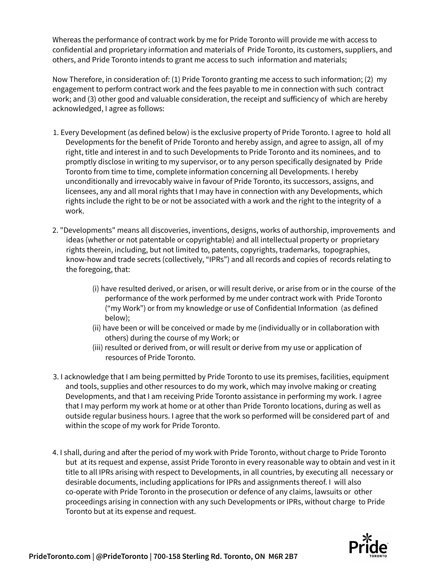Whereas the performance of contract work by me for Pride Toronto will provide me with access to confidential and proprietary information and materials of Pride Toronto, its customers, suppliers, and others, and Pride Toronto intends to grant me access to such information and materials;

Now Therefore, in consideration of: (1) Pride Toronto granting me access to such information; (2) my engagement to perform contract work and the fees payable to me in connection with such contract work; and (3) other good and valuable consideration, the receipt and sufficiency of which are hereby acknowledged, I agree as follows:

- 1. Every Development (as defined below) is the exclusive property of Pride Toronto. I agree to hold all Developments for the benefit of Pride Toronto and hereby assign, and agree to assign, all of my right, title and interest in and to such Developments to Pride Toronto and its nominees, and to promptly disclose in writing to my supervisor, or to any person specifically designated by Pride Toronto from time to time, complete information concerning all Developments. I hereby unconditionally and irrevocably waive in favour of Pride Toronto, its successors, assigns, and licensees, any and all moral rights that I may have in connection with any Developments, which rights include the right to be or not be associated with a work and the right to the integrity of a work.
- 2. "Developments" means all discoveries, inventions, designs, works of authorship, improvements and ideas (whether or not patentable or copyrightable) and all intellectual property or proprietary rights therein, including, but not limited to, patents, copyrights, trademarks, topographies, know-how and trade secrets (collectively, "IPRs") and all records and copies of records relating to the foregoing, that:
	- (i) have resulted derived, or arisen, or will result derive, or arise from or in the course of the performance of the work performed by me under contract work with Pride Toronto ("my Work") or from my knowledge or use of Confidential Information (as defined below);
	- (ii) have been or will be conceived or made by me (individually or in collaboration with others) during the course of my Work; or
	- (iii) resulted or derived from, or will result or derive from my use or application of resources of Pride Toronto.
- 3. I acknowledge that I am being permitted by Pride Toronto to use its premises, facilities, equipment and tools, supplies and other resources to do my work, which may involve making or creating Developments, and that I am receiving Pride Toronto assistance in performing my work. I agree that I may perform my work at home or at other than Pride Toronto locations, during as well as outside regular business hours. I agree that the work so performed will be considered part of and within the scope of my work for Pride Toronto.
- 4. I shall, during and after the period of my work with Pride Toronto, without charge to Pride Toronto but at its request and expense, assist Pride Toronto in every reasonable way to obtain and vest in it title to all IPRs arising with respect to Developments, in all countries, by executing all necessary or desirable documents, including applications for IPRs and assignments thereof. I will also co-operate with Pride Toronto in the prosecution or defence of any claims, lawsuits or other proceedings arising in connection with any such Developments or IPRs, without charge to Pride Toronto but at its expense and request.

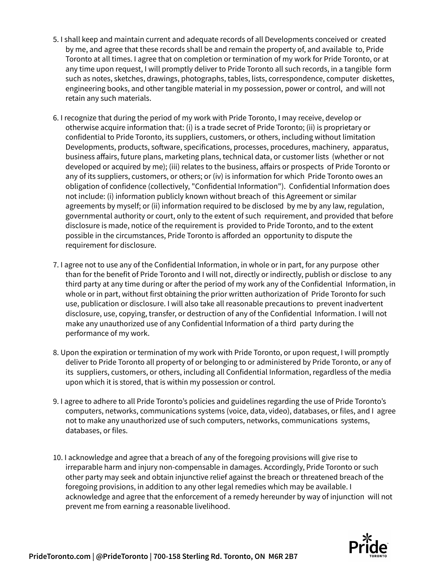- 5. I shall keep and maintain current and adequate records of all Developments conceived or created by me, and agree that these records shall be and remain the property of, and available to, Pride Toronto at all times. I agree that on completion or termination of my work for Pride Toronto, or at any time upon request, I will promptly deliver to Pride Toronto all such records, in a tangible form such as notes, sketches, drawings, photographs, tables, lists, correspondence, computer diskettes, engineering books, and other tangible material in my possession, power or control, and will not retain any such materials.
- 6. I recognize that during the period of my work with Pride Toronto, I may receive, develop or otherwise acquire information that: (i) is a trade secret of Pride Toronto; (ii) is proprietary or confidential to Pride Toronto, its suppliers, customers, or others, including without limitation Developments, products, software, specifications, processes, procedures, machinery, apparatus, business affairs, future plans, marketing plans, technical data, or customer lists (whether or not developed or acquired by me); (iii) relates to the business, affairs or prospects of Pride Toronto or any of its suppliers, customers, or others; or (iv) is information for which Pride Toronto owes an obligation of confidence (collectively, "Confidential Information"). Confidential Information does not include: (i) information publicly known without breach of this Agreement or similar agreements by myself; or (ii) information required to be disclosed by me by any law, regulation, governmental authority or court, only to the extent of such requirement, and provided that before disclosure is made, notice of the requirement is provided to Pride Toronto, and to the extent possible in the circumstances, Pride Toronto is afforded an opportunity to dispute the requirement for disclosure.
- 7. I agree not to use any of the Confidential Information, in whole or in part, for any purpose other than for the benefit of Pride Toronto and I will not, directly or indirectly, publish or disclose to any third party at any time during or after the period of my work any of the Confidential Information, in whole or in part, without first obtaining the prior written authorization of Pride Toronto for such use, publication or disclosure. I will also take all reasonable precautions to prevent inadvertent disclosure, use, copying, transfer, or destruction of any of the Confidential Information. I will not make any unauthorized use of any Confidential Information of a third party during the performance of my work.
- 8. Upon the expiration or termination of my work with Pride Toronto, or upon request, I will promptly deliver to Pride Toronto all property of or belonging to or administered by Pride Toronto, or any of its suppliers, customers, or others, including all Confidential Information, regardless of the media upon which it is stored, that is within my possession or control.
- 9. I agree to adhere to all Pride Toronto's policies and guidelines regarding the use of Pride Toronto's computers, networks, communications systems (voice, data, video), databases, or files, and I agree not to make any unauthorized use of such computers, networks, communications systems, databases, or files.
- 10. I acknowledge and agree that a breach of any of the foregoing provisions will give rise to irreparable harm and injury non-compensable in damages. Accordingly, Pride Toronto or such other party may seek and obtain injunctive relief against the breach or threatened breach of the foregoing provisions, in addition to any other legal remedies which may be available. I acknowledge and agree that the enforcement of a remedy hereunder by way of injunction will not prevent me from earning a reasonable livelihood.